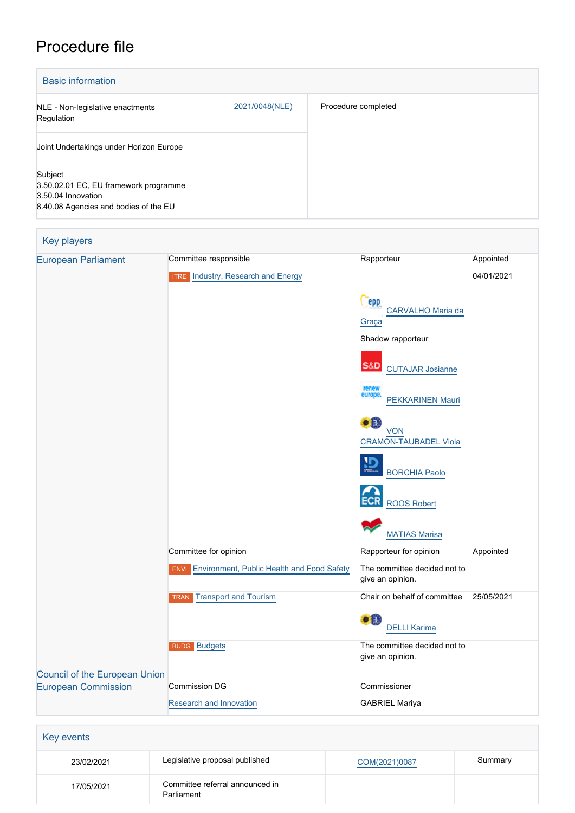# Procedure file

| <b>Basic information</b>                                                                                        |                |                     |  |
|-----------------------------------------------------------------------------------------------------------------|----------------|---------------------|--|
| NLE - Non-legislative enactments<br>Regulation                                                                  | 2021/0048(NLE) | Procedure completed |  |
| Joint Undertakings under Horizon Europe                                                                         |                |                     |  |
| Subject<br>3.50.02.01 EC, EU framework programme<br>3.50.04 Innovation<br>8.40.08 Agencies and bodies of the EU |                |                     |  |

| <b>Key players</b>            |                                                        |                                                                   |                         |
|-------------------------------|--------------------------------------------------------|-------------------------------------------------------------------|-------------------------|
| <b>European Parliament</b>    | Committee responsible                                  | Rapporteur                                                        | Appointed<br>04/01/2021 |
|                               | <b>ITRE</b> Industry, Research and Energy              |                                                                   |                         |
|                               |                                                        | epp                                                               |                         |
|                               |                                                        | CARVALHO Maria da<br>Graça                                        |                         |
|                               |                                                        | Shadow rapporteur                                                 |                         |
|                               |                                                        | <b>S&amp;D</b><br><b>CUTAJAR Josianne</b>                         |                         |
|                               |                                                        | renew<br>europe.<br>PEKKARINEN Mauri                              |                         |
|                               |                                                        | $\bullet$ $\bullet$<br><b>VON</b><br><b>CRAMON-TAUBADEL Viola</b> |                         |
|                               |                                                        | VБ<br><b>BORCHIA Paolo</b>                                        |                         |
|                               |                                                        | <b>ECR</b><br><b>ROOS Robert</b>                                  |                         |
|                               |                                                        | <b>MATIAS Marisa</b>                                              |                         |
|                               | Committee for opinion                                  | Rapporteur for opinion                                            | Appointed               |
|                               | <b>ENVI</b> Environment, Public Health and Food Safety | The committee decided not to<br>give an opinion.                  |                         |
|                               | Transport and Tourism<br><b>TRAN</b>                   | Chair on behalf of committee                                      | 25/05/2021              |
|                               |                                                        | €Ë<br><b>DELLI Karima</b>                                         |                         |
|                               | <b>BUDG Budgets</b>                                    | The committee decided not to<br>give an opinion.                  |                         |
| Council of the European Union |                                                        |                                                                   |                         |
| <b>European Commission</b>    | <b>Commission DG</b>                                   | Commissioner                                                      |                         |
|                               | Research and Innovation                                | <b>GABRIEL Mariya</b>                                             |                         |

| 23/02/2021 | Legislative proposal published                | COM(2021)0087 | Summary |
|------------|-----------------------------------------------|---------------|---------|
| 17/05/2021 | Committee referral announced in<br>Parliament |               |         |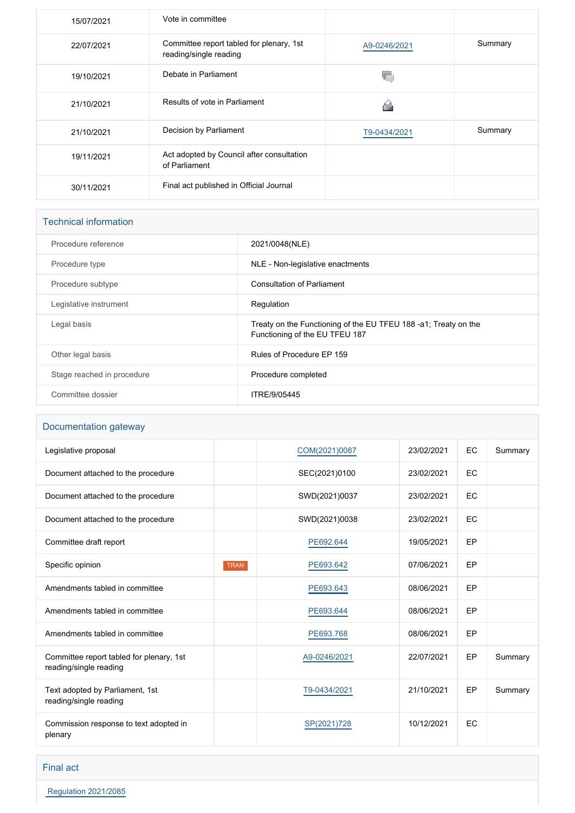| 15/07/2021 | Vote in committee                                                  |              |         |
|------------|--------------------------------------------------------------------|--------------|---------|
| 22/07/2021 | Committee report tabled for plenary, 1st<br>reading/single reading | A9-0246/2021 | Summary |
| 19/10/2021 | Debate in Parliament                                               |              |         |
| 21/10/2021 | Results of vote in Parliament                                      |              |         |
| 21/10/2021 | Decision by Parliament                                             | T9-0434/2021 | Summary |
| 19/11/2021 | Act adopted by Council after consultation<br>of Parliament         |              |         |
| 30/11/2021 | Final act published in Official Journal                            |              |         |

| <b>Technical information</b> |                                                                                                  |  |  |
|------------------------------|--------------------------------------------------------------------------------------------------|--|--|
| Procedure reference          | 2021/0048(NLE)                                                                                   |  |  |
| Procedure type               | NLE - Non-legislative enactments                                                                 |  |  |
| Procedure subtype            | <b>Consultation of Parliament</b>                                                                |  |  |
| Legislative instrument       | Regulation                                                                                       |  |  |
| Legal basis                  | Treaty on the Functioning of the EU TFEU 188-a1; Treaty on the<br>Functioning of the EU TFEU 187 |  |  |
| Other legal basis            | Rules of Procedure EP 159                                                                        |  |  |
| Stage reached in procedure   | Procedure completed                                                                              |  |  |
| Committee dossier            | ITRE/9/05445                                                                                     |  |  |

# Documentation gateway

| Legislative proposal                                               |             | COM(2021)0087 | 23/02/2021 | <b>EC</b> | Summary |
|--------------------------------------------------------------------|-------------|---------------|------------|-----------|---------|
| Document attached to the procedure                                 |             | SEC(2021)0100 | 23/02/2021 | <b>EC</b> |         |
| Document attached to the procedure                                 |             | SWD(2021)0037 | 23/02/2021 | <b>EC</b> |         |
| Document attached to the procedure                                 |             | SWD(2021)0038 | 23/02/2021 | <b>EC</b> |         |
| Committee draft report                                             |             | PE692.644     | 19/05/2021 | EP        |         |
| Specific opinion                                                   | <b>TRAN</b> | PE693.642     | 07/06/2021 | EP        |         |
| Amendments tabled in committee                                     |             | PE693.643     | 08/06/2021 | EP        |         |
| Amendments tabled in committee                                     |             | PE693.644     | 08/06/2021 | EP        |         |
| Amendments tabled in committee                                     |             | PE693.768     | 08/06/2021 | EP        |         |
| Committee report tabled for plenary, 1st<br>reading/single reading |             | A9-0246/2021  | 22/07/2021 | EP        | Summary |
| Text adopted by Parliament, 1st<br>reading/single reading          |             | T9-0434/2021  | 21/10/2021 | EP        | Summary |
| Commission response to text adopted in<br>plenary                  |             | SP(2021)728   | 10/12/2021 | EC        |         |

Final act

 [Regulation 2021/2085](https://eur-lex.europa.eu/smartapi/cgi/sga_doc?smartapi!celexplus!prod!CELEXnumdoc&lg=EN&numdoc=32021R2085)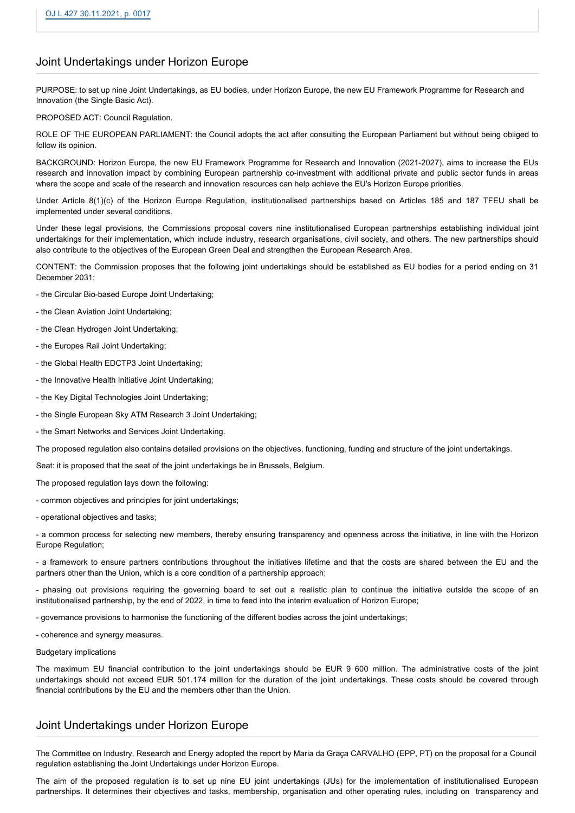# Joint Undertakings under Horizon Europe

PURPOSE: to set up nine Joint Undertakings, as EU bodies, under Horizon Europe, the new EU Framework Programme for Research and Innovation (the Single Basic Act).

PROPOSED ACT: Council Regulation.

ROLE OF THE EUROPEAN PARLIAMENT: the Council adopts the act after consulting the European Parliament but without being obliged to follow its opinion.

BACKGROUND: Horizon Europe, the new EU Framework Programme for Research and Innovation (2021-2027), aims to increase the EUs research and innovation impact by combining European partnership co-investment with additional private and public sector funds in areas where the scope and scale of the research and innovation resources can help achieve the EU's Horizon Europe priorities.

Under Article 8(1)(c) of the Horizon Europe Regulation, institutionalised partnerships based on Articles 185 and 187 TFEU shall be implemented under several conditions.

Under these legal provisions, the Commissions proposal covers nine institutionalised European partnerships establishing individual joint undertakings for their implementation, which include industry, research organisations, civil society, and others. The new partnerships should also contribute to the objectives of the European Green Deal and strengthen the European Research Area.

CONTENT: the Commission proposes that the following joint undertakings should be established as EU bodies for a period ending on 31 December 2031:

- the Circular Bio-based Europe Joint Undertaking;
- the Clean Aviation Joint Undertaking;
- the Clean Hydrogen Joint Undertaking;
- the Europes Rail Joint Undertaking;
- the Global Health EDCTP3 Joint Undertaking;
- the Innovative Health Initiative Joint Undertaking;
- the Key Digital Technologies Joint Undertaking;
- the Single European Sky ATM Research 3 Joint Undertaking;
- the Smart Networks and Services Joint Undertaking.

The proposed regulation also contains detailed provisions on the objectives, functioning, funding and structure of the joint undertakings.

Seat: it is proposed that the seat of the joint undertakings be in Brussels, Belgium.

The proposed regulation lays down the following:

- common objectives and principles for joint undertakings;
- operational objectives and tasks;

- a common process for selecting new members, thereby ensuring transparency and openness across the initiative, in line with the Horizon Europe Regulation;

- a framework to ensure partners contributions throughout the initiatives lifetime and that the costs are shared between the EU and the partners other than the Union, which is a core condition of a partnership approach;

- phasing out provisions requiring the governing board to set out a realistic plan to continue the initiative outside the scope of an institutionalised partnership, by the end of 2022, in time to feed into the interim evaluation of Horizon Europe;

- governance provisions to harmonise the functioning of the different bodies across the joint undertakings;

- coherence and synergy measures.

#### Budgetary implications

The maximum EU financial contribution to the joint undertakings should be EUR 9 600 million. The administrative costs of the joint undertakings should not exceed EUR 501.174 million for the duration of the joint undertakings. These costs should be covered through financial contributions by the EU and the members other than the Union.

# Joint Undertakings under Horizon Europe

The Committee on Industry, Research and Energy adopted the report by Maria da Graça CARVALHO (EPP, PT) on the proposal for a Council regulation establishing the Joint Undertakings under Horizon Europe.

The aim of the proposed regulation is to set up nine EU joint undertakings (JUs) for the implementation of institutionalised European partnerships. It determines their objectives and tasks, membership, organisation and other operating rules, including on transparency and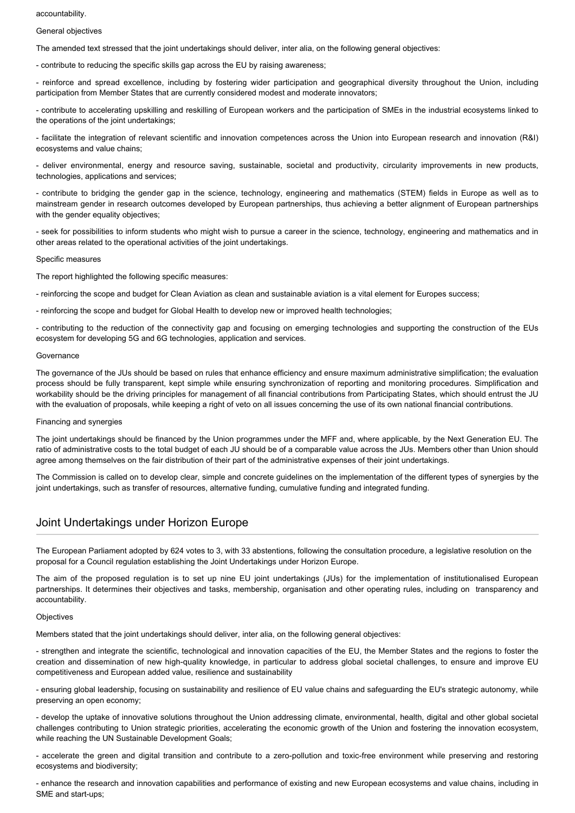accountability.

#### General objectives

The amended text stressed that the joint undertakings should deliver, inter alia, on the following general objectives:

- contribute to reducing the specific skills gap across the EU by raising awareness;

- reinforce and spread excellence, including by fostering wider participation and geographical diversity throughout the Union, including participation from Member States that are currently considered modest and moderate innovators;

- contribute to accelerating upskilling and reskilling of European workers and the participation of SMEs in the industrial ecosystems linked to the operations of the joint undertakings;

- facilitate the integration of relevant scientific and innovation competences across the Union into European research and innovation (R&I) ecosystems and value chains;

- deliver environmental, energy and resource saving, sustainable, societal and productivity, circularity improvements in new products, technologies, applications and services;

- contribute to bridging the gender gap in the science, technology, engineering and mathematics (STEM) fields in Europe as well as to mainstream gender in research outcomes developed by European partnerships, thus achieving a better alignment of European partnerships with the gender equality objectives;

- seek for possibilities to inform students who might wish to pursue a career in the science, technology, engineering and mathematics and in other areas related to the operational activities of the joint undertakings.

#### Specific measures

The report highlighted the following specific measures:

- reinforcing the scope and budget for Clean Aviation as clean and sustainable aviation is a vital element for Europes success;

- reinforcing the scope and budget for Global Health to develop new or improved health technologies;

- contributing to the reduction of the connectivity gap and focusing on emerging technologies and supporting the construction of the EUs ecosystem for developing 5G and 6G technologies, application and services.

# Governance

The governance of the JUs should be based on rules that enhance efficiency and ensure maximum administrative simplification; the evaluation process should be fully transparent, kept simple while ensuring synchronization of reporting and monitoring procedures. Simplification and workability should be the driving principles for management of all financial contributions from Participating States, which should entrust the JU with the evaluation of proposals, while keeping a right of veto on all issues concerning the use of its own national financial contributions.

## Financing and synergies

The joint undertakings should be financed by the Union programmes under the MFF and, where applicable, by the Next Generation EU. The ratio of administrative costs to the total budget of each JU should be of a comparable value across the JUs. Members other than Union should agree among themselves on the fair distribution of their part of the administrative expenses of their joint undertakings.

The Commission is called on to develop clear, simple and concrete guidelines on the implementation of the different types of synergies by the joint undertakings, such as transfer of resources, alternative funding, cumulative funding and integrated funding.

# Joint Undertakings under Horizon Europe

The European Parliament adopted by 624 votes to 3, with 33 abstentions, following the consultation procedure, a legislative resolution on the proposal for a Council regulation establishing the Joint Undertakings under Horizon Europe.

The aim of the proposed regulation is to set up nine EU joint undertakings (JUs) for the implementation of institutionalised European partnerships. It determines their objectives and tasks, membership, organisation and other operating rules, including on transparency and accountability.

### **Objectives**

Members stated that the joint undertakings should deliver, inter alia, on the following general objectives:

- strengthen and integrate the scientific, technological and innovation capacities of the EU, the Member States and the regions to foster the creation and dissemination of new high-quality knowledge, in particular to address global societal challenges, to ensure and improve EU competitiveness and European added value, resilience and sustainability

- ensuring global leadership, focusing on sustainability and resilience of EU value chains and safeguarding the EU's strategic autonomy, while preserving an open economy;

- develop the uptake of innovative solutions throughout the Union addressing climate, environmental, health, digital and other global societal challenges contributing to Union strategic priorities, accelerating the economic growth of the Union and fostering the innovation ecosystem, while reaching the UN Sustainable Development Goals;

- accelerate the green and digital transition and contribute to a zero-pollution and toxic-free environment while preserving and restoring ecosystems and biodiversity;

- enhance the research and innovation capabilities and performance of existing and new European ecosystems and value chains, including in SME and start-ups;